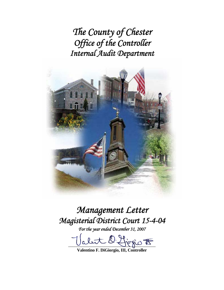*The County of Chester Office of the Controller Internal Audit Department* 



# *Management Letter Magisterial District Court 15-4-04*

*For the year ended December 31, 2007* 

 $D$  figges  $\overline{E}$ **Valentino F. DiGiorgio, III, Controller**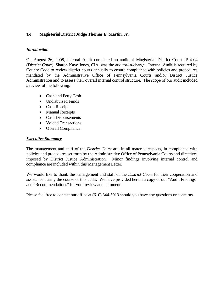# **To: Magisterial District Judge Thomas E. Martin, Jr.**

# *Introduction*

On August 26, 2008, Internal Audit completed an audit of Magisterial District Court 15-4-04 (*District Court*). Sharon Kaye Jones, CIA, was the auditor-in-charge. Internal Audit is required by County Code to review district courts annually to ensure compliance with policies and procedures mandated by the Administrative Office of Pennsylvania Courts and/or District Justice Administration and to assess their overall internal control structure. The scope of our audit included a review of the following:

- Cash and Petty Cash
- Undisbursed Funds
- Cash Receipts
- Manual Receipts
- Cash Disbursements
- Voided Transactions
- Overall Compliance.

# *Executive Summary*

The management and staff of the *District Court* are, in all material respects, in compliance with policies and procedures set forth by the Administrative Office of Pennsylvania Courts and directives imposed by District Justice Administration. Minor findings involving internal control and compliance are included within this Management Letter.

We would like to thank the management and staff of the *District Court* for their cooperation and assistance during the course of this audit. We have provided herein a copy of our "Audit Findings" and "Recommendations" for your review and comment.

Please feel free to contact our office at (610) 344-5913 should you have any questions or concerns.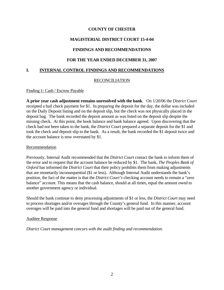# **MAGISTERIAL DISTRICT COURT 15-4-04**

# **FINDINGS AND RECOMMENDATIONS**

## **FOR THE YEAR ENDED DECEMBER 31, 2007**

## **I. INTERNAL CONTROL FINDINGS AND RECOMMENDATIONS**

## RECONCILIATION

#### Finding 1: Cash / Escrow Payable

**A prior year cash adjustment remains unresolved with the bank**. On 1/20/06 the *District Court*  receipted a bail check payment for \$1. In preparing the deposit for the day, the dollar was included on the Daily Deposit listing and on the deposit slip, but the check was not physically placed in the deposit bag. The bank recorded the deposit amount as was listed on the deposit slip despite the missing check. At this point, the book balance and bank balance agreed. Upon discovering that the check had not been taken to the bank, the *District Court* prepared a separate deposit for the \$1 and took the check and deposit slip to the bank. As a result, the bank recorded the \$1 deposit twice and the account balance is now overstated by \$1.

#### Recommendation

Previously, Internal Audit recommended that the *District Court* contact the bank to inform them of the error and to request that the account balance be reduced by \$1. The bank, *The Peoples Bank of Oxford* has informed the *District Court* that their policy prohibits them from making adjustments that are monetarily inconsequential (\$1 or less). Although Internal Audit understands the bank's position, the fact of the matter is that the *District Court's* checking account needs to remain a "zero balance" account. This means that the cash balance, should at all times, equal the amount owed to another government agency or individual.

Should the bank continue to deny processing adjustments of \$1 or less, the *District Court* may need to process shortages and/or overages through the County's general fund. In this manner, account overages will be paid into the general fund and shortages will be paid out of the general fund.

#### Auditee Response

*District Court management concurs with the audit finding and recommendation.*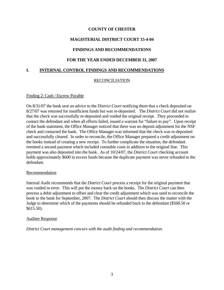# **MAGISTERIAL DISTRICT COURT 15-4-04**

# **FINDINGS AND RECOMMENDATIONS**

## **FOR THE YEAR ENDED DECEMBER 31, 2007**

## **I. INTERNAL CONTROL FINDINGS AND RECOMMENDATIONS**

## RECONCILIATION

#### Finding 2: Cash / Escrow Payable

On 8/31/07 the bank sent an advice to the *District Court* notifying them that a check deposited on 8/27/07 was returned for insufficient funds but was re-deposited. The *District Court* did not realize that the check was successfully re-deposited and voided the original receipt. They proceeded to contact the defendant and when all efforts failed, issued a warrant for "failure to pay". Upon receipt of the bank statement, the Office Manager noticed that there was no deposit adjustment for the NSF check and contacted the bank. The Office Manager was informed that the check was re-deposited and successfully cleared. In order to reconcile, the Office Manager prepared a credit adjustment on the books instead of creating a new receipt. To further complicate the situation, the defendant remitted a second payment which included constable costs in addition to the original fine. This payment was also deposited into the bank. As of 10/24/07, the *District Court* checking account holds approximately \$600 in excess funds because the duplicate payment was never refunded to the defendant.

#### Recommendation

Internal Audit recommends that the *District Court* process a receipt for the original payment that was voided in error. This will put the money back on the books. The *District Court* can then process a debit adjustment to offset and clear the credit adjustment which was used to reconcile the book to the bank for September, 2007. The *District Court* should then discuss the matter with the Judge to determine which of the payments should be refunded back to the defendant (\$568.50 or \$615.50).

#### Auditee Response

*District Court management concurs with the audit finding and recommendation.*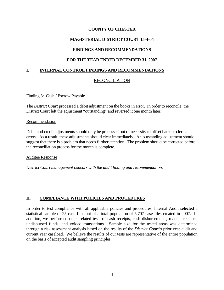# **MAGISTERIAL DISTRICT COURT 15-4-04**

# **FINDINGS AND RECOMMENDATIONS**

## **FOR THE YEAR ENDED DECEMBER 31, 2007**

## **I. INTERNAL CONTROL FINDINGS AND RECOMMENDATIONS**

## RECONCILIATION

#### Finding 3: Cash / Escrow Payable

The *District Court* processed a debit adjustment on the books in error. In order to reconcile, the District Court left the adjustment "outstanding" and reversed it one month later.

#### Recommendation

Debit and credit adjustments should only be processed out of necessity to offset bank or clerical errors. As a result, these adjustments should clear immediately. An outstanding adjustment should suggest that there is a problem that needs further attention. The problem should be corrected before the reconciliation process for the month is complete.

#### Auditee Response

*District Court management concurs with the audit finding and recommendation.* 

# **II. COMPLIANCE WITH POLICIES AND PROCEDURES**

In order to test compliance with all applicable policies and procedures, Internal Audit selected a statistical sample of 25 case files out of a total population of 5,707 case files created in 2007. In addition, we performed other related tests of cash receipts, cash disbursements, manual receipts, undisbursed funds, and voided transactions. Sample size for the tested areas was determined through a risk assessment analysis based on the results of the *District Court's* prior year audit and current year caseload. We believe the results of our tests are representative of the entire population on the basis of accepted audit sampling principles.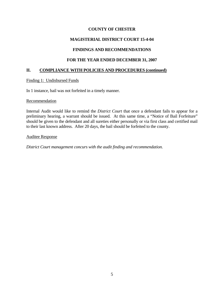# **MAGISTERIAL DISTRICT COURT 15-4-04**

# **FINDINGS AND RECOMMENDATIONS**

# **FOR THE YEAR ENDED DECEMBER 31, 2007**

## **II. COMPLIANCE WITH POLICIES AND PROCEDURES (continued)**

#### Finding 1: Undisbursed Funds

In 1 instance, bail was not forfeited in a timely manner.

#### Recommendation

Internal Audit would like to remind the *District Court* that once a defendant fails to appear for a preliminary hearing, a warrant should be issued. At this same time, a "Notice of Bail Forfeiture" should be given to the defendant and all sureties either personally or via first class and certified mail to their last known address. After 20 days, the bail should be forfeited to the county.

#### Auditee Response

*District Court management concurs with the audit finding and recommendation.*